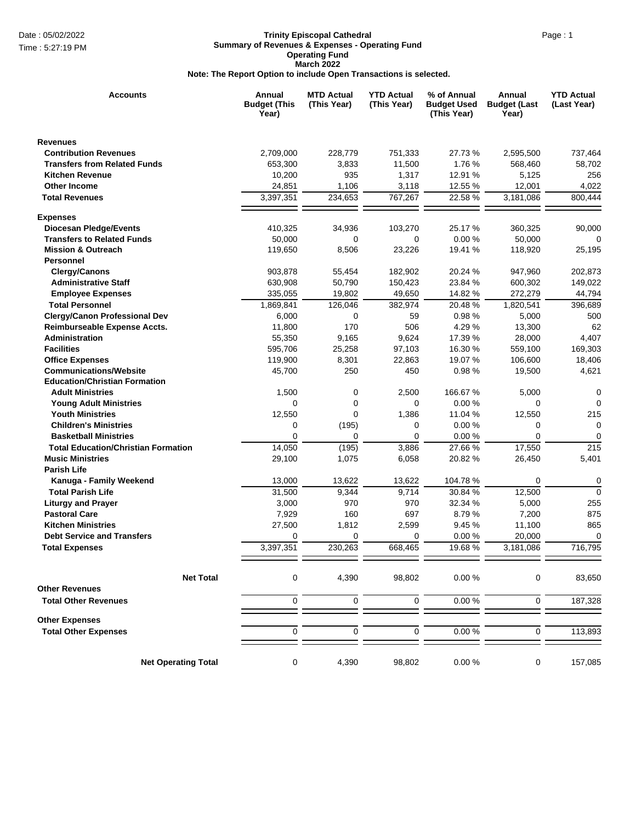## Date : 05/02/2022 **Page : 1 Contract Cathedral** Page : 1 **Trinity Episcopal Cathedral Summary of Revenues & Expenses - Operating Fund Operating Fund March 2022 Note: The Report Option to include Open Transactions is selected.**

| <b>Accounts</b>                            | Annual<br><b>Budget (This</b><br>Year) | <b>MTD Actual</b><br>(This Year) | <b>YTD Actual</b><br>(This Year) | % of Annual<br><b>Budget Used</b><br>(This Year) | Annual<br><b>Budget (Last</b><br>Year) | <b>YTD Actual</b><br>(Last Year) |
|--------------------------------------------|----------------------------------------|----------------------------------|----------------------------------|--------------------------------------------------|----------------------------------------|----------------------------------|
| <b>Revenues</b>                            |                                        |                                  |                                  |                                                  |                                        |                                  |
| <b>Contribution Revenues</b>               | 2,709,000                              | 228,779                          | 751,333                          | 27.73 %                                          | 2,595,500                              | 737,464                          |
| <b>Transfers from Related Funds</b>        | 653,300                                | 3,833                            | 11,500                           | 1.76 %                                           | 568,460                                | 58,702                           |
| <b>Kitchen Revenue</b>                     | 10,200                                 | 935                              | 1,317                            | 12.91 %                                          | 5,125                                  | 256                              |
| <b>Other Income</b>                        | 24,851                                 | 1,106                            | 3,118                            | 12.55 %                                          | 12,001                                 | 4,022                            |
| <b>Total Revenues</b>                      | 3,397,351                              | 234,653                          | 767,267                          | 22.58 %                                          | 3,181,086                              | 800,444                          |
| <b>Expenses</b>                            |                                        |                                  |                                  |                                                  |                                        |                                  |
| <b>Diocesan Pledge/Events</b>              | 410,325                                | 34,936                           | 103,270                          | 25.17 %                                          | 360,325                                | 90,000                           |
| <b>Transfers to Related Funds</b>          | 50,000                                 | 0                                | 0                                | 0.00%                                            | 50,000                                 | $\Omega$                         |
| <b>Mission &amp; Outreach</b>              | 119,650                                | 8,506                            | 23,226                           | 19.41 %                                          | 118,920                                | 25,195                           |
| <b>Personnel</b>                           |                                        |                                  |                                  |                                                  |                                        |                                  |
| <b>Clergy/Canons</b>                       | 903,878                                | 55,454                           | 182,902                          | 20.24 %                                          | 947,960                                | 202,873                          |
| <b>Administrative Staff</b>                | 630,908                                | 50,790                           | 150,423                          | 23.84 %                                          | 600,302                                | 149,022                          |
| <b>Employee Expenses</b>                   | 335,055                                | 19,802                           | 49,650                           | 14.82 %                                          | 272,279                                | 44,794                           |
| <b>Total Personnel</b>                     | 1,869,841                              | 126,046                          | 382,974                          | 20.48 %                                          | 1,820,541                              | 396,689                          |
| <b>Clergy/Canon Professional Dev</b>       | 6,000                                  | 0                                | 59                               | 0.98%                                            | 5,000                                  | 500                              |
| Reimburseable Expense Accts.               | 11,800                                 | 170                              | 506                              | 4.29 %                                           | 13,300                                 | 62                               |
| Administration                             | 55,350                                 | 9,165                            | 9,624                            | 17.39 %                                          | 28,000                                 | 4,407                            |
| <b>Facilities</b>                          | 595,706                                | 25,258                           | 97,103                           | 16.30 %                                          | 559,100                                | 169,303                          |
| <b>Office Expenses</b>                     | 119,900                                | 8,301                            | 22,863                           | 19.07 %                                          | 106,600                                | 18,406                           |
| <b>Communications/Website</b>              | 45,700                                 | 250                              | 450                              | 0.98%                                            | 19,500                                 | 4,621                            |
| <b>Education/Christian Formation</b>       |                                        |                                  |                                  |                                                  |                                        |                                  |
| <b>Adult Ministries</b>                    | 1,500                                  | 0                                | 2,500                            | 166.67 %                                         | 5,000                                  | 0                                |
| <b>Young Adult Ministries</b>              | 0                                      | 0                                | 0                                | 0.00%                                            | 0                                      | $\Omega$                         |
| <b>Youth Ministries</b>                    | 12,550                                 | 0                                | 1,386                            | 11.04 %                                          | 12,550                                 | 215                              |
| <b>Children's Ministries</b>               | 0                                      | (195)                            | 0                                | 0.00%                                            | 0                                      | 0                                |
| <b>Basketball Ministries</b>               | 0                                      | 0                                | $\mathbf 0$                      | 0.00%                                            | 0                                      | $\mathbf 0$                      |
| <b>Total Education/Christian Formation</b> | 14,050                                 | (195)                            | 3,886                            | 27.66 %                                          | 17,550                                 | 215                              |
| <b>Music Ministries</b>                    | 29,100                                 | 1,075                            | 6,058                            | 20.82 %                                          | 26,450                                 | 5,401                            |
| <b>Parish Life</b>                         |                                        |                                  |                                  |                                                  |                                        |                                  |
| Kanuga - Family Weekend                    | 13,000                                 | 13,622                           | 13,622                           | 104.78%                                          | 0                                      | 0                                |
| <b>Total Parish Life</b>                   | 31,500                                 | 9,344                            | 9,714                            | 30.84 %                                          | 12,500                                 | $\mathbf 0$                      |
| <b>Liturgy and Prayer</b>                  | 3,000                                  | 970                              | 970                              | 32.34 %                                          | 5,000                                  | 255                              |
| <b>Pastoral Care</b>                       | 7,929                                  | 160                              | 697                              | 8.79%                                            | 7,200                                  | 875                              |
| <b>Kitchen Ministries</b>                  | 27,500                                 | 1,812                            | 2,599                            | 9.45 %                                           | 11,100                                 | 865                              |
| <b>Debt Service and Transfers</b>          | 0                                      | 0                                | 0                                | 0.00%                                            | 20,000                                 | $\mathbf 0$                      |
| <b>Total Expenses</b>                      | 3,397,351                              | 230,263                          | 668,465                          | 19.68%                                           | 3,181,086                              | 716,795                          |
|                                            |                                        |                                  |                                  |                                                  |                                        |                                  |
| <b>Net Total</b>                           | $\mathbf 0$                            | 4,390                            | 98,802                           | 0.00%                                            | 0                                      | 83,650                           |
| <b>Other Revenues</b>                      |                                        |                                  |                                  |                                                  |                                        |                                  |
| <b>Total Other Revenues</b>                | $\mathbf 0$                            | $\mathbf 0$                      | $\mathbf 0$                      | 0.00%                                            | 0                                      | 187,328                          |
| <b>Other Expenses</b>                      |                                        |                                  |                                  |                                                  |                                        |                                  |
| <b>Total Other Expenses</b>                | $\mathbf 0$                            | $\overline{0}$                   | $\mathbf 0$                      | 0.00%                                            | 0                                      | 113,893                          |
| <b>Net Operating Total</b>                 | $\mathbf 0$                            | 4,390                            | 98,802                           | 0.00%                                            | 0                                      | 157,085                          |